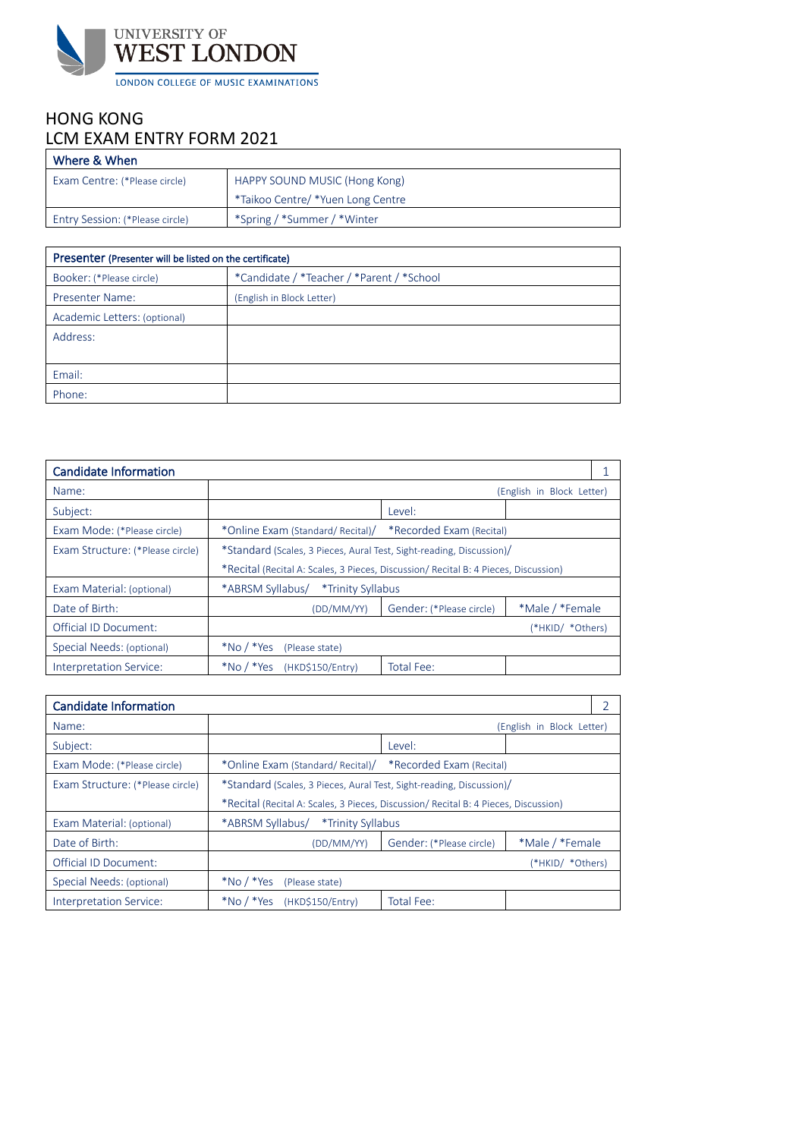

# HONG KONG LCM EXAM ENTRY FORM 2021

| Where & When                           |                                   |
|----------------------------------------|-----------------------------------|
| Exam Centre: (*Please circle)          | HAPPY SOUND MUSIC (Hong Kong)     |
|                                        | *Taikoo Centre/ *Yuen Long Centre |
| <b>Entry Session: (*Please circle)</b> | *Spring / *Summer / *Winter       |

| Presenter (Presenter will be listed on the certificate) |                                           |  |
|---------------------------------------------------------|-------------------------------------------|--|
| Booker: (*Please circle)                                | *Candidate / *Teacher / *Parent / *School |  |
| <b>Presenter Name:</b>                                  | (English in Block Letter)                 |  |
| Academic Letters: (optional)                            |                                           |  |
| Address:                                                |                                           |  |
|                                                         |                                           |  |
| Email:                                                  |                                           |  |
| Phone:                                                  |                                           |  |

| <b>Candidate Information</b>     |                                                                                     |                          |                           |  |
|----------------------------------|-------------------------------------------------------------------------------------|--------------------------|---------------------------|--|
| Name:                            |                                                                                     |                          | (English in Block Letter) |  |
| Subject:                         |                                                                                     | Level:                   |                           |  |
| Exam Mode: (*Please circle)      | *Online Exam (Standard/ Recital)/                                                   | *Recorded Exam (Recital) |                           |  |
| Exam Structure: (*Please circle) | *Standard (Scales, 3 Pieces, Aural Test, Sight-reading, Discussion)/                |                          |                           |  |
|                                  | *Recital (Recital A: Scales, 3 Pieces, Discussion/ Recital B: 4 Pieces, Discussion) |                          |                           |  |
| Exam Material: (optional)        | *ABRSM Syllabus/<br>*Trinity Syllabus                                               |                          |                           |  |
| Date of Birth:                   | (DD/MM/YY)                                                                          | Gender: (*Please circle) | *Male / *Female           |  |
| Official ID Document:            |                                                                                     |                          | (*HKID/ *Others)          |  |
| Special Needs: (optional)        | $*$ No / $*$ Yes<br>(Please state)                                                  |                          |                           |  |
| Interpretation Service:          | $*$ No / $*$ Yes<br>(HKD\$150/Entry)                                                | Total Fee:               |                           |  |

| <b>Candidate Information</b>     |                                                                                     |                          |                           |  |
|----------------------------------|-------------------------------------------------------------------------------------|--------------------------|---------------------------|--|
| Name:                            |                                                                                     |                          | (English in Block Letter) |  |
| Subject:                         |                                                                                     | Level:                   |                           |  |
| Exam Mode: (*Please circle)      | *Online Exam (Standard/ Recital)/                                                   | *Recorded Exam (Recital) |                           |  |
| Exam Structure: (*Please circle) | *Standard (Scales, 3 Pieces, Aural Test, Sight-reading, Discussion)/                |                          |                           |  |
|                                  | *Recital (Recital A: Scales, 3 Pieces, Discussion/ Recital B: 4 Pieces, Discussion) |                          |                           |  |
| Exam Material: (optional)        | *ABRSM Syllabus/<br>*Trinity Syllabus                                               |                          |                           |  |
| Date of Birth:                   | (DD/MM/YY)                                                                          | Gender: (*Please circle) | *Male / *Female           |  |
| Official ID Document:            |                                                                                     |                          | (*HKID/ *Others)          |  |
| Special Needs: (optional)        | $*$ No / $*$ Yes<br>(Please state)                                                  |                          |                           |  |
| Interpretation Service:          | $*$ No / $*$ Yes<br>(HKD\$150/Entry)                                                | Total Fee:               |                           |  |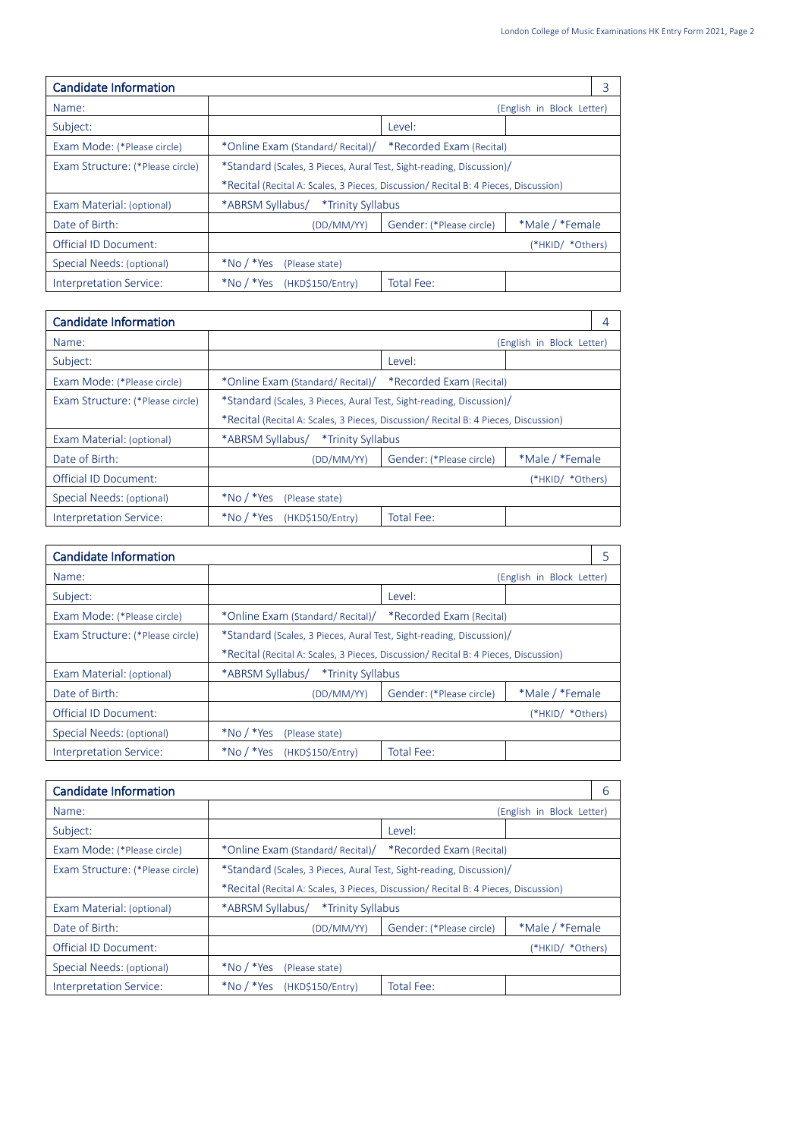| Candidate Information            |                                                                                     |                          |                           | 3 |
|----------------------------------|-------------------------------------------------------------------------------------|--------------------------|---------------------------|---|
| Name:                            |                                                                                     |                          | (English in Block Letter) |   |
| Subject:                         |                                                                                     | Level:                   |                           |   |
| Exam Mode: (*Please circle)      | *Online Exam (Standard/ Recital)/                                                   | *Recorded Exam (Recital) |                           |   |
| Exam Structure: (*Please circle) | *Standard (Scales, 3 Pieces, Aural Test, Sight-reading, Discussion)/                |                          |                           |   |
|                                  | *Recital (Recital A: Scales, 3 Pieces, Discussion/ Recital B: 4 Pieces, Discussion) |                          |                           |   |
| Exam Material: (optional)        | *ABRSM Syllabus/                                                                    | *Trinity Syllabus        |                           |   |
| Date of Birth:                   | (DD/MM/YY)                                                                          | Gender: (*Please circle) | *Male / *Female           |   |
| Official ID Document:            |                                                                                     |                          | (*HKID/ *Others)          |   |
| Special Needs: (optional)        | $*$ No / $*$ Yes<br>(Please state)                                                  |                          |                           |   |
| Interpretation Service:          | $*$ No / $*$ Yes<br>(HKD\$150/Entry)                                                | Total Fee:               |                           |   |

| <b>Candidate Information</b>     |                                                                                     |                          |                           | 4 |
|----------------------------------|-------------------------------------------------------------------------------------|--------------------------|---------------------------|---|
| Name:                            |                                                                                     |                          | (English in Block Letter) |   |
| Subject:                         |                                                                                     | Level:                   |                           |   |
| Exam Mode: (*Please circle)      | *Online Exam (Standard/ Recital)/                                                   | *Recorded Exam (Recital) |                           |   |
| Exam Structure: (*Please circle) | *Standard (Scales, 3 Pieces, Aural Test, Sight-reading, Discussion)/                |                          |                           |   |
|                                  | *Recital (Recital A: Scales, 3 Pieces, Discussion/ Recital B: 4 Pieces, Discussion) |                          |                           |   |
| Exam Material: (optional)        | *ABRSM Syllabus/<br>*Trinity Syllabus                                               |                          |                           |   |
| Date of Birth:                   | (DD/MM/YY)                                                                          | Gender: (*Please circle) | *Male / *Female           |   |
| Official ID Document:            |                                                                                     |                          | (*HKID/ *Others)          |   |
| Special Needs: (optional)        | $*$ No / $*$ Yes<br>(Please state)                                                  |                          |                           |   |
| Interpretation Service:          | $*$ No / $*$ Yes<br>(HKD\$150/Entry)                                                | Total Fee:               |                           |   |

| Candidate Information            |                                                                                     |                          |                           |  |
|----------------------------------|-------------------------------------------------------------------------------------|--------------------------|---------------------------|--|
| Name:                            |                                                                                     |                          | (English in Block Letter) |  |
| Subject:                         |                                                                                     | Level:                   |                           |  |
| Exam Mode: (*Please circle)      | *Online Exam (Standard/ Recital)/                                                   | *Recorded Exam (Recital) |                           |  |
| Exam Structure: (*Please circle) | *Standard (Scales, 3 Pieces, Aural Test, Sight-reading, Discussion)/                |                          |                           |  |
|                                  | *Recital (Recital A: Scales, 3 Pieces, Discussion/ Recital B: 4 Pieces, Discussion) |                          |                           |  |
| Exam Material: (optional)        | *ABRSM Syllabus/<br>*Trinity Syllabus                                               |                          |                           |  |
| Date of Birth:                   | (DD/MM/YY)                                                                          | Gender: (*Please circle) | *Male / *Female           |  |
| <b>Official ID Document:</b>     |                                                                                     |                          | (*HKID/ *Others)          |  |
| Special Needs: (optional)        | $*$ No / $*$ Yes<br>(Please state)                                                  |                          |                           |  |
| Interpretation Service:          | $*$ No / $*$ Yes<br>(HKD\$150/Entry)                                                | Total Fee:               |                           |  |

| <b>Candidate Information</b>     |                                                                                     |                          |                           | h |
|----------------------------------|-------------------------------------------------------------------------------------|--------------------------|---------------------------|---|
| Name:                            |                                                                                     |                          | (English in Block Letter) |   |
| Subject:                         |                                                                                     | Level:                   |                           |   |
| Exam Mode: (*Please circle)      | *Online Exam (Standard/ Recital)/                                                   | *Recorded Exam (Recital) |                           |   |
| Exam Structure: (*Please circle) | *Standard (Scales, 3 Pieces, Aural Test, Sight-reading, Discussion)/                |                          |                           |   |
|                                  | *Recital (Recital A: Scales, 3 Pieces, Discussion/ Recital B: 4 Pieces, Discussion) |                          |                           |   |
| Exam Material: (optional)        | *ABRSM Syllabus/ *Trinity Syllabus                                                  |                          |                           |   |
| Date of Birth:                   | (DD/MM/YY)                                                                          | Gender: (*Please circle) | *Male / *Female           |   |
| <b>Official ID Document:</b>     |                                                                                     |                          | (*HKID/ *Others)          |   |
| Special Needs: (optional)        | $*$ No / $*$ Yes<br>(Please state)                                                  |                          |                           |   |
| Interpretation Service:          | $*$ No / $*$ Yes<br>(HKD\$150/Entry)                                                | Total Fee:               |                           |   |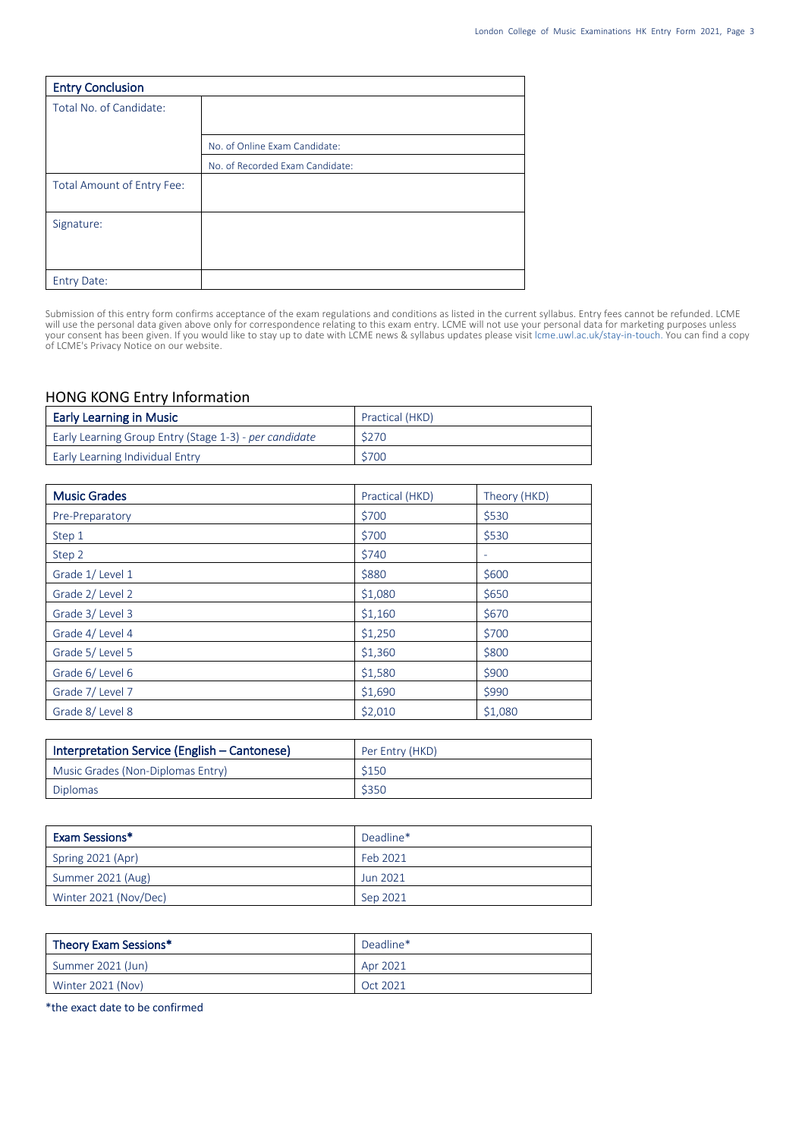| <b>Entry Conclusion</b>    |                                 |
|----------------------------|---------------------------------|
| Total No. of Candidate:    |                                 |
|                            |                                 |
|                            | No. of Online Exam Candidate:   |
|                            | No. of Recorded Exam Candidate: |
| Total Amount of Entry Fee: |                                 |
|                            |                                 |
| Signature:                 |                                 |
|                            |                                 |
|                            |                                 |
| <b>Entry Date:</b>         |                                 |

Submission of this entry form confirms acceptance of the exam regulations and conditions as listed in the current syllabus. Entry fees cannot be refunded. LCME will use the personal data given above only for correspondence relating to this exam entry. LCME will not use your personal data for marketing purposes unless your consent has been given. If you would like to stay up to date with LCME news & syllabus updates please visit lcme.uwl.ac.uk/stay-in-touch. You can find a copy of LCME's Privacy Notice on our website.

## HONG KONG Entry Information

| <b>Early Learning in Music</b>                         | Practical (HKD) |
|--------------------------------------------------------|-----------------|
| Early Learning Group Entry (Stage 1-3) - per candidate | \$270           |
| Early Learning Individual Entry                        | \$700           |

| <b>Music Grades</b> | Practical (HKD) | Theory (HKD) |
|---------------------|-----------------|--------------|
| Pre-Preparatory     | \$700           | \$530        |
| Step 1              | \$700           | \$530        |
| Step 2              | \$740           | ۰            |
| Grade 1/Level 1     | \$880           | \$600        |
| Grade 2/Level 2     | \$1,080         | \$650        |
| Grade 3/Level 3     | \$1,160         | \$670        |
| Grade 4/Level 4     | \$1,250         | \$700        |
| Grade 5/Level 5     | \$1,360         | \$800        |
| Grade 6/Level 6     | \$1,580         | \$900        |
| Grade 7/Level 7     | \$1,690         | \$990        |
| Grade 8/Level 8     | \$2,010         | \$1,080      |

| Interpretation Service (English – Cantonese) | Per Entry (HKD) |
|----------------------------------------------|-----------------|
| Music Grades (Non-Diplomas Entry)            | \$150           |
| Diplomas                                     | \$350           |

| Exam Sessions*        | Deadline* |
|-----------------------|-----------|
| Spring 2021 (Apr)     | Feb 2021  |
| Summer 2021 (Aug)     | Jun 2021  |
| Winter 2021 (Nov/Dec) | Sep 2021  |

| Theory Exam Sessions* | Deadline* |
|-----------------------|-----------|
| Summer 2021 (Jun)     | Apr 2021  |
| Winter 2021 (Nov)     | Oct 2021  |

\*the exact date to be confirmed